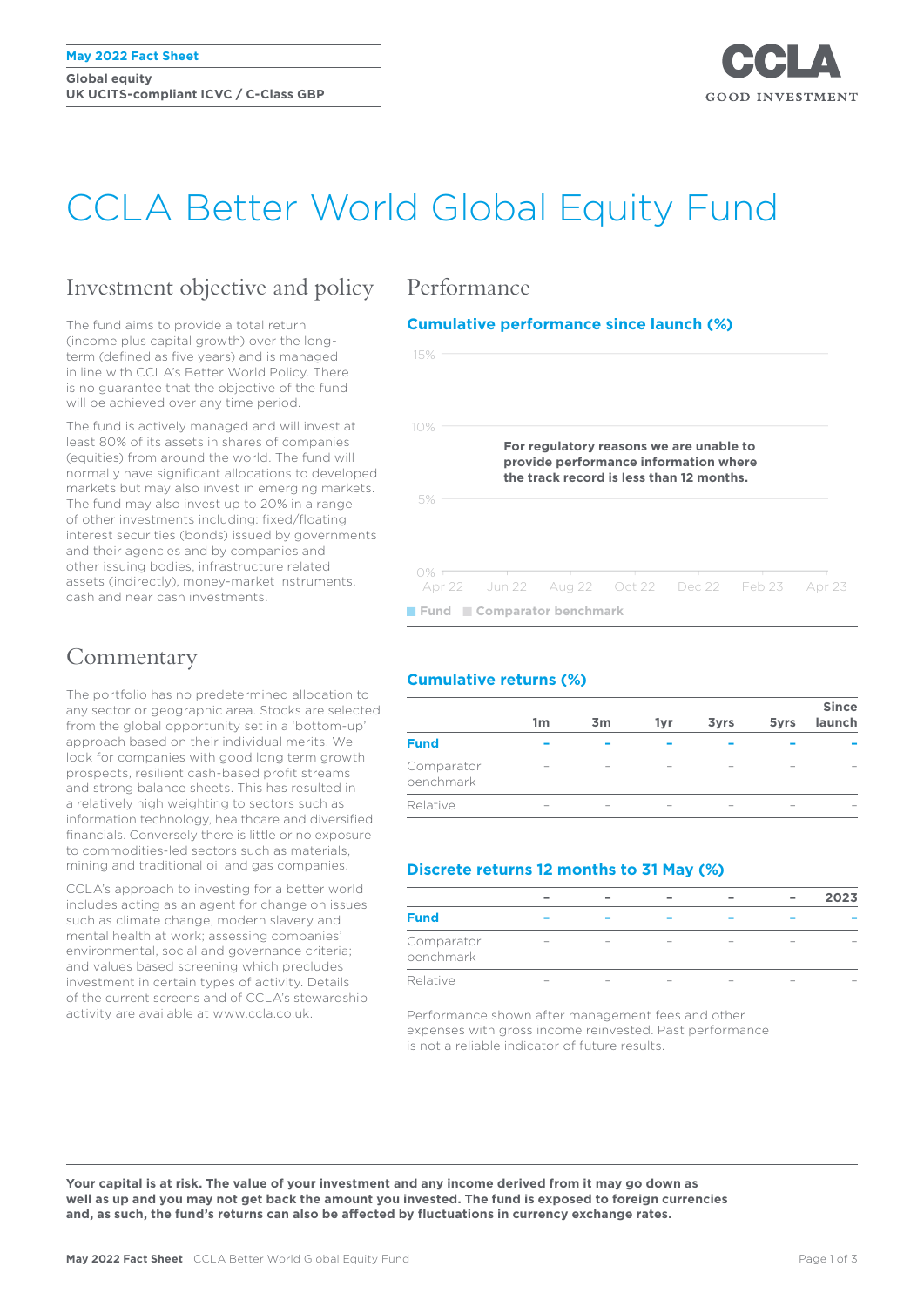**Global equity UK UCITS-compliant ICVC / C-Class GBP**



# CCLA Better World Global Equity Fund

### Investment objective and policy

The fund aims to provide a total return (income plus capital growth) over the longterm (defined as five years) and is managed in line with CCLA's Better World Policy. There is no guarantee that the objective of the fund will be achieved over any time period.

The fund is actively managed and will invest at least 80% of its assets in shares of companies (equities) from around the world. The fund will normally have significant allocations to developed markets but may also invest in emerging markets. The fund may also invest up to 20% in a range of other investments including: fixed/floating interest securities (bonds) issued by governments and their agencies and by companies and other issuing bodies, infrastructure related assets (indirectly), money-market instruments, cash and near cash investments.

### **Commentary**

The portfolio has no predetermined allocation to any sector or geographic area. Stocks are selected from the global opportunity set in a 'bottom-up' approach based on their individual merits. We look for companies with good long term growth prospects, resilient cash-based profit streams and strong balance sheets. This has resulted in a relatively high weighting to sectors such as information technology, healthcare and diversified financials. Conversely there is little or no exposure to commodities-led sectors such as materials, mining and traditional oil and gas companies.

CCLA's approach to investing for a better world includes acting as an agent for change on issues such as climate change, modern slavery and mental health at work; assessing companies' environmental, social and governance criteria; and values based screening which precludes investment in certain types of activity. Details of the current screens and of CCLA's stewardship activity are available at www.ccla.co.uk.

### Performance

### **Cumulative performance since launch (%)**



### **Cumulative returns (%)**

|                         | 1m | 3 <sub>m</sub> | 1yr | <b>3yrs</b> | 5yrs | <b>Since</b><br>launch |
|-------------------------|----|----------------|-----|-------------|------|------------------------|
| <b>Fund</b>             |    |                |     |             |      |                        |
| Comparator<br>benchmark |    |                |     |             |      |                        |
| Relative                |    |                |     |             |      |                        |

### **Discrete returns 12 months to 31 May (%)**

|                         |  |  | $\overline{\phantom{a}}$ | $\equiv$ | 2023 |
|-------------------------|--|--|--------------------------|----------|------|
| <b>Fund</b>             |  |  |                          |          |      |
| Comparator<br>benchmark |  |  |                          |          |      |
| Relative                |  |  |                          |          |      |

Performance shown after management fees and other expenses with gross income reinvested. Past performance is not a reliable indicator of future results.

**Your capital is at risk. The value of your investment and any income derived from it may go down as well as up and you may not get back the amount you invested. The fund is exposed to foreign currencies and, as such, the fund's returns can also be affected by fluctuations in currency exchange rates.**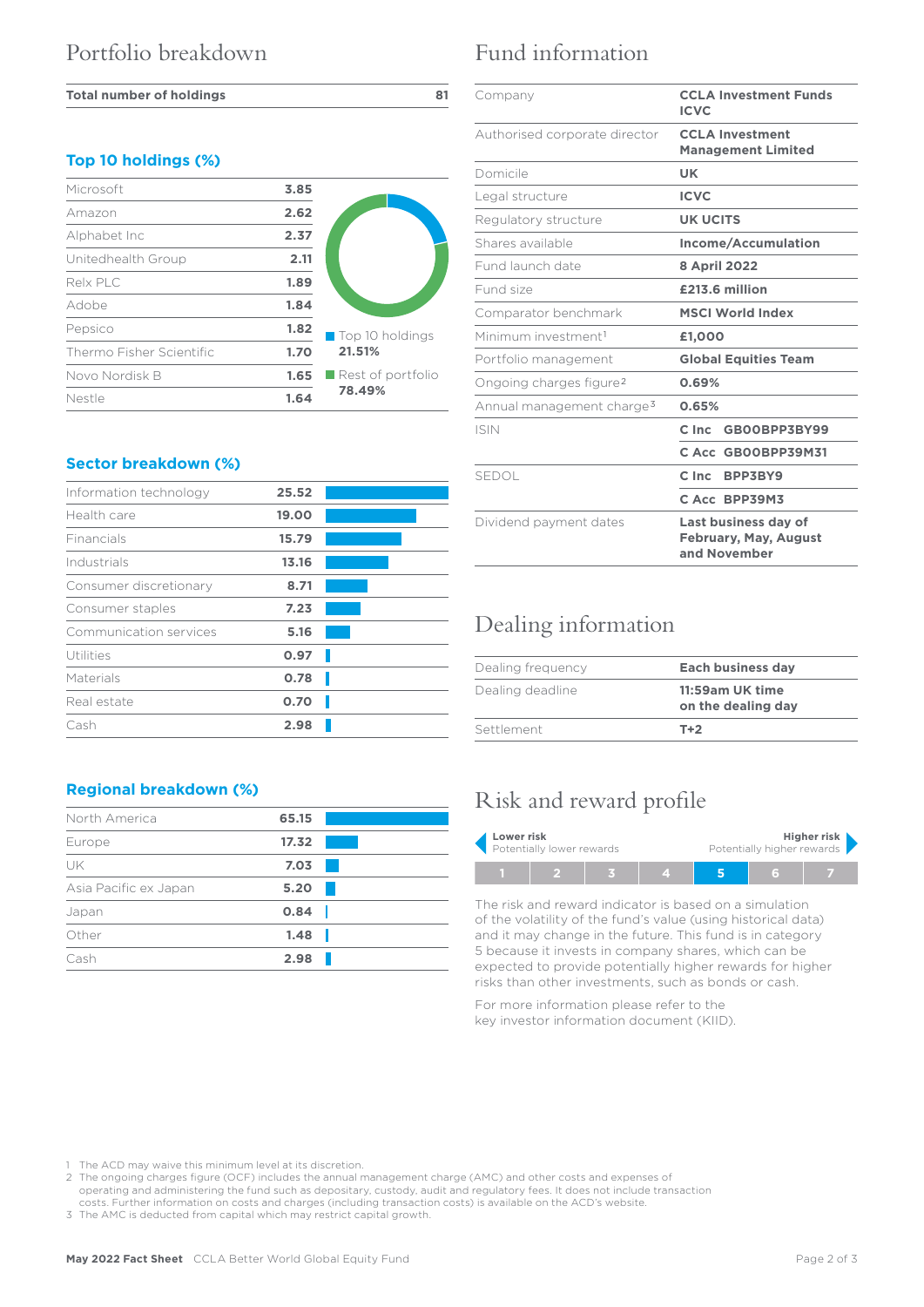#### **Total number of holdings 81**

### **Top 10 holdings (%)**

| Microsoft                | 3.85 |                                  |
|--------------------------|------|----------------------------------|
| Amazon                   | 2.62 |                                  |
| Alphabet Inc             | 2.37 |                                  |
| Unitedhealth Group       | 2.11 |                                  |
| Relx PLC                 | 1.89 |                                  |
| Adobe                    | 1.84 |                                  |
| Pepsico                  | 1.82 | Top 10 holdings                  |
| Thermo Fisher Scientific | 1.70 | 21.51%                           |
| Novo Nordisk B           | 1.65 | $\blacksquare$ Rest of portfolio |
| Nestle                   | 1.64 | 78.49%                           |

### **Sector breakdown (%)**

| Information technology | 25.52 |  |
|------------------------|-------|--|
| Health care            | 19.00 |  |
| Financials             | 15.79 |  |
| Industrials            | 13.16 |  |
| Consumer discretionary | 8.71  |  |
| Consumer staples       | 7.23  |  |
| Communication services | 5.16  |  |
| Utilities              | 0.97  |  |
| Materials              | 0.78  |  |
| Real estate            | 0.70  |  |
| Cash                   | 2.98  |  |

### **Regional breakdown (%)**

| North America         | 65.15 |  |
|-----------------------|-------|--|
| Europe                | 17.32 |  |
| UK                    | 7.03  |  |
| Asia Pacific ex Japan | 5.20  |  |
| Japan                 | 0.84  |  |
| Other                 | 1.48  |  |
| Cash                  | 2.98  |  |
|                       |       |  |

## Fund information

| Company                               | <b>CCLA Investment Funds</b><br><b>ICVC</b>                          |  |  |
|---------------------------------------|----------------------------------------------------------------------|--|--|
| Authorised corporate director         | <b>CCLA Investment</b><br><b>Management Limited</b>                  |  |  |
| Domicile                              | UK                                                                   |  |  |
| Legal structure                       | <b>ICVC</b>                                                          |  |  |
| Regulatory structure                  | <b>UK UCITS</b>                                                      |  |  |
| Shares available                      | Income/Accumulation                                                  |  |  |
| Fund launch date                      | 8 April 2022                                                         |  |  |
| Fund size                             | £213.6 million                                                       |  |  |
| Comparator benchmark                  | <b>MSCI World Index</b>                                              |  |  |
| Minimum investment <sup>1</sup>       | £1,000                                                               |  |  |
| Portfolio management                  | <b>Global Equities Team</b>                                          |  |  |
| Ongoing charges figure <sup>2</sup>   | 0.69%                                                                |  |  |
| Annual management charge <sup>3</sup> | 0.65%                                                                |  |  |
| <b>ISIN</b>                           | $C$ Inc $\blacksquare$<br>GBOOBPP3BY99                               |  |  |
|                                       | C Acc GB00BPP39M31                                                   |  |  |
| <b>SEDOL</b>                          | C Inc BPP3BY9                                                        |  |  |
|                                       | C Acc BPP39M3                                                        |  |  |
| Dividend payment dates                | Last business day of<br><b>February, May, August</b><br>and November |  |  |

### Dealing information

| Dealing frequency | Each business day                     |  |  |
|-------------------|---------------------------------------|--|--|
| Dealing deadline  | 11:59am UK time<br>on the dealing day |  |  |
| Settlement        | $T+2$                                 |  |  |

# Risk and reward profile

| Lower risk                |  |  | Higher risk                |  |  |  |  |
|---------------------------|--|--|----------------------------|--|--|--|--|
| Potentially lower rewards |  |  | Potentially higher rewards |  |  |  |  |
|                           |  |  |                            |  |  |  |  |

The risk and reward indicator is based on a simulation of the volatility of the fund's value (using historical data) and it may change in the future. This fund is in category 5 because it invests in company shares, which can be expected to provide potentially higher rewards for higher risks than other investments, such as bonds or cash.

For more information please refer to the key investor information document (KIID).

1 The ACD may waive this minimum level at its discretion.

2 The ongoing charges figure (OCF) includes the annual management charge (AMC) and other costs and expenses of operating and administering the fund such as depositary, custody, audit and regulatory fees. It does not include transaction costs. Further information on costs and charges (including transaction costs) is available on the ACD's website.

3 The AMC is deducted from capital which may restrict capital growth.